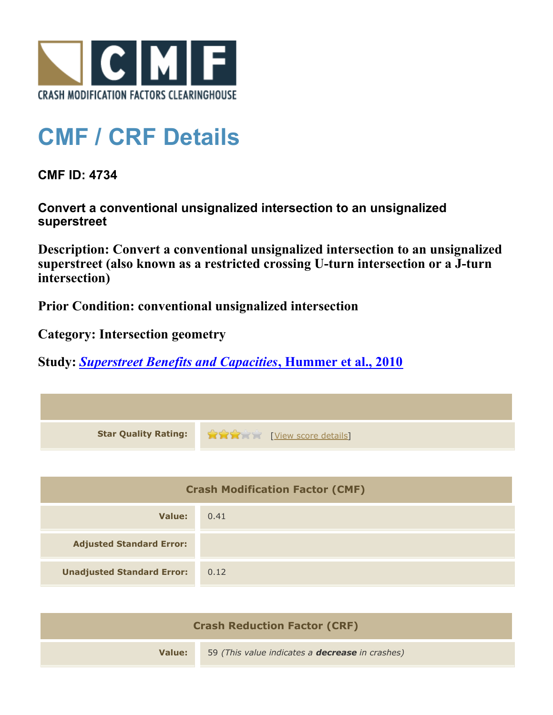

## **CMF / CRF Details**

**CMF ID: 4734**

**Convert a conventional unsignalized intersection to an unsignalized superstreet**

**Description: Convert a conventional unsignalized intersection to an unsignalized superstreet (also known as a restricted crossing U-turn intersection or a J-turn intersection)**

**Prior Condition: conventional unsignalized intersection**

**Category: Intersection geometry**

**Study:** *[Superstreet Benefits and Capacities](http://www.cmfclearinghouse.org/study_detail.cfm?stid=249)***[, Hummer et al., 2010](http://www.cmfclearinghouse.org/study_detail.cfm?stid=249)**

| <b>Star Quality Rating:</b>            | <b>THE EXAMPLE EXAMPLE IN THE EXAMPLE OF STATE STATE</b> |
|----------------------------------------|----------------------------------------------------------|
|                                        |                                                          |
| <b>Crash Modification Factor (CMF)</b> |                                                          |
| <b>Value:</b>                          | 0.41                                                     |
| <b>Adjusted Standard Error:</b>        |                                                          |
| <b>Unadjusted Standard Error:</b>      | 0.12                                                     |
|                                        |                                                          |

| <b>Crash Reduction Factor (CRF)</b> |                                                        |  |
|-------------------------------------|--------------------------------------------------------|--|
| Value:                              | 59 (This value indicates a <b>decrease</b> in crashes) |  |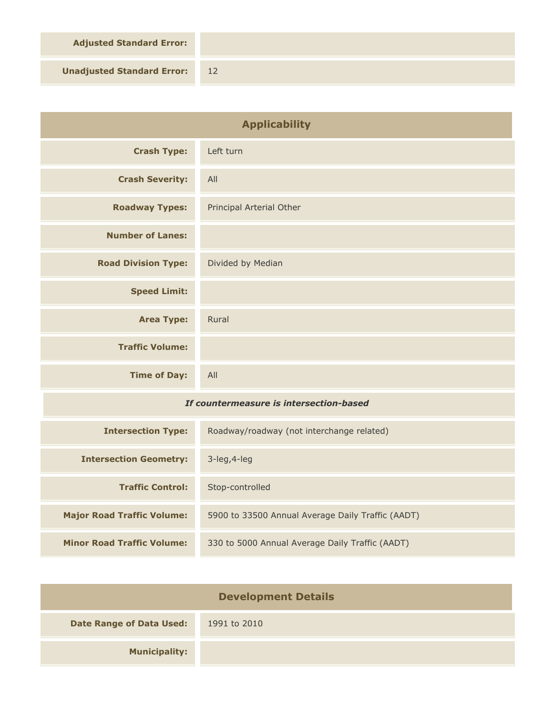**Adjusted Standard Error:**

**Unadjusted Standard Error:** 12

| <b>Applicability</b>                    |                                                   |
|-----------------------------------------|---------------------------------------------------|
| <b>Crash Type:</b>                      | Left turn                                         |
| <b>Crash Severity:</b>                  | All                                               |
| <b>Roadway Types:</b>                   | Principal Arterial Other                          |
| <b>Number of Lanes:</b>                 |                                                   |
| <b>Road Division Type:</b>              | Divided by Median                                 |
| <b>Speed Limit:</b>                     |                                                   |
| <b>Area Type:</b>                       | Rural                                             |
| <b>Traffic Volume:</b>                  |                                                   |
| <b>Time of Day:</b>                     | All                                               |
| If countermeasure is intersection-based |                                                   |
| <b>Intersection Type:</b>               | Roadway/roadway (not interchange related)         |
| <b>Intersection Geometry:</b>           | 3-leg, 4-leg                                      |
| <b>Traffic Control:</b>                 | Stop-controlled                                   |
| <b>Major Road Traffic Volume:</b>       | 5900 to 33500 Annual Average Daily Traffic (AADT) |
| <b>Minor Road Traffic Volume:</b>       | 330 to 5000 Annual Average Daily Traffic (AADT)   |

| <b>Development Details</b>      |              |  |
|---------------------------------|--------------|--|
| <b>Date Range of Data Used:</b> | 1991 to 2010 |  |
| <b>Municipality:</b>            |              |  |